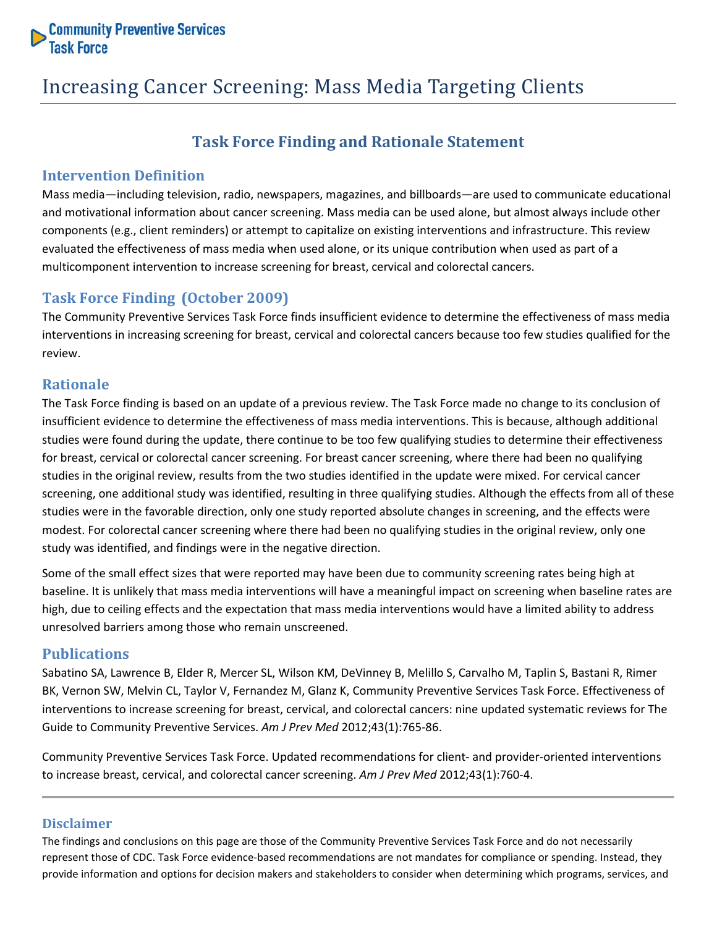

# Increasing Cancer Screening: Mass Media Targeting Clients

## **Task Force Finding and Rationale Statement**

## **Intervention Definition**

Mass media—including television, radio, newspapers, magazines, and billboards—are used to communicate educational and motivational information about cancer screening. Mass media can be used alone, but almost always include other components (e.g., client reminders) or attempt to capitalize on existing interventions and infrastructure. This review evaluated the effectiveness of mass media when used alone, or its unique contribution when used as part of a multicomponent intervention to increase screening for breast, cervical and colorectal cancers.

## **Task Force Finding (October 2009)**

The Community Preventive Services Task Force finds insufficient evidence to determine the effectiveness of mass media interventions in increasing screening for breast, cervical and colorectal cancers because too few studies qualified for the review.

## **Rationale**

The Task Force finding is based on an update of a previous review. The Task Force made no change to its conclusion of insufficient evidence to determine the effectiveness of mass media interventions. This is because, although additional studies were found during the update, there continue to be too few qualifying studies to determine their effectiveness for breast, cervical or colorectal cancer screening. For breast cancer screening, where there had been no qualifying studies in the original review, results from the two studies identified in the update were mixed. For cervical cancer screening, one additional study was identified, resulting in three qualifying studies. Although the effects from all of these studies were in the favorable direction, only one study reported absolute changes in screening, and the effects were modest. For colorectal cancer screening where there had been no qualifying studies in the original review, only one study was identified, and findings were in the negative direction.

Some of the small effect sizes that were reported may have been due to community screening rates being high at baseline. It is unlikely that mass media interventions will have a meaningful impact on screening when baseline rates are high, due to ceiling effects and the expectation that mass media interventions would have a limited ability to address unresolved barriers among those who remain unscreened.

### **Publications**

Sabatino SA, Lawrence B, Elder R, Mercer SL, Wilson KM, DeVinney B, Melillo S, Carvalho M, Taplin S, Bastani R, Rimer BK, Vernon SW, Melvin CL, Taylor V, Fernandez M, Glanz K, Community Preventive Services Task Force. Effectiveness of interventions to increase screening for breast, cervical, and colorectal cancers: nine updated systematic reviews for The Guide to Community Preventive Services. *Am J Prev Med* 2012;43(1):765-86.

Community Preventive Services Task Force. Updated recommendations for client- and provider-oriented interventions to increase breast, cervical, and colorectal cancer screening. *Am J Prev Med* 2012;43(1):760-4.

### **Disclaimer**

The findings and conclusions on this page are those of the Community Preventive Services Task Force and do not necessarily represent those of CDC. Task Force evidence-based recommendations are not mandates for compliance or spending. Instead, they provide information and options for decision makers and stakeholders to consider when determining which programs, services, and